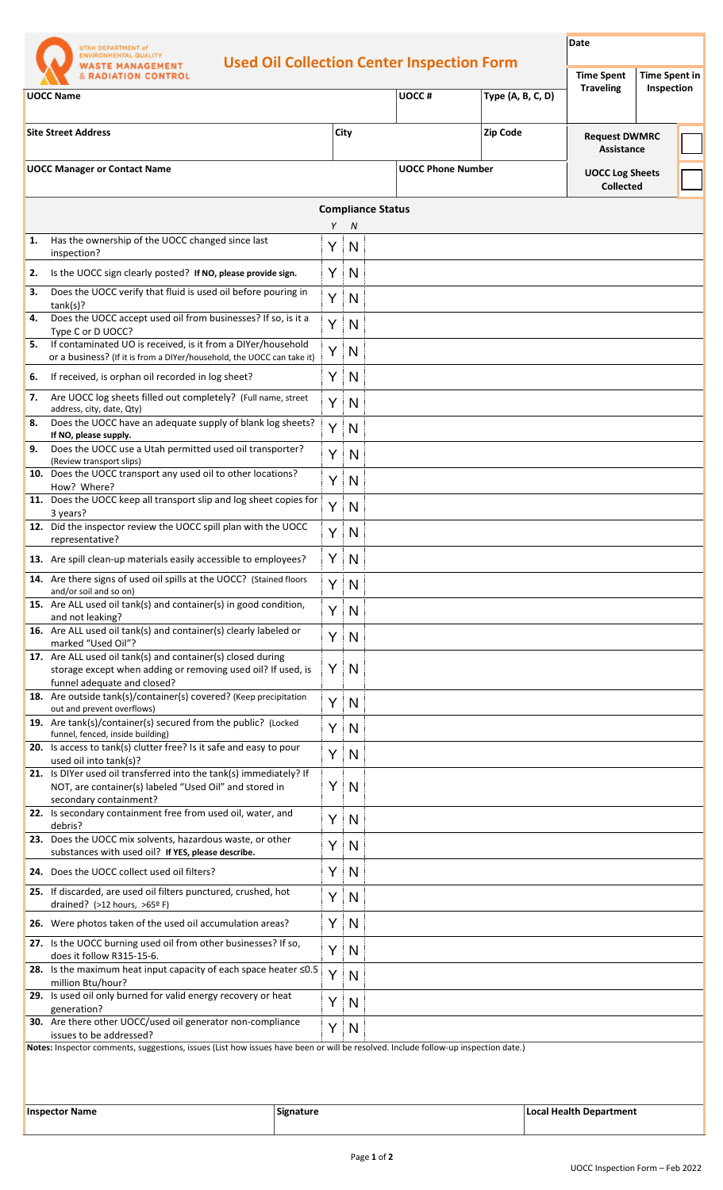| 1. | <b>Used Oil Collection Center Inspection Form</b><br><b>WASTE MANAGEMENT</b><br><b>&amp; RADIATION CONTROL</b><br><b>UOCC Name</b> |        |                          |       |                          | <b>Time Spent</b>                  |                                            |  |
|----|------------------------------------------------------------------------------------------------------------------------------------|--------|--------------------------|-------|--------------------------|------------------------------------|--------------------------------------------|--|
|    |                                                                                                                                    |        |                          |       | Type (A, B, C, D)        | <b>Traveling</b>                   | <b>Time Spent in</b><br>Inspection         |  |
|    |                                                                                                                                    |        |                          | UOCC# |                          |                                    |                                            |  |
|    | <b>Site Street Address</b><br><b>UOCC Manager or Contact Name</b>                                                                  |        | City                     |       | <b>Zip Code</b>          | <b>Request DWMRC</b><br>Assistance |                                            |  |
|    |                                                                                                                                    |        |                          |       | <b>UOCC Phone Number</b> |                                    | <b>UOCC Log Sheets</b><br><b>Collected</b> |  |
|    |                                                                                                                                    |        | <b>Compliance Status</b> |       |                          |                                    |                                            |  |
|    | Has the ownership of the UOCC changed since last                                                                                   | Y<br>Y | N<br>N                   |       |                          |                                    |                                            |  |
| 2. | inspection?<br>Is the UOCC sign clearly posted? If NO, please provide sign.                                                        | Y.     | N                        |       |                          |                                    |                                            |  |
| з. | Does the UOCC verify that fluid is used oil before pouring in                                                                      | Y      | N                        |       |                          |                                    |                                            |  |
| 4. | tank(s)?<br>Does the UOCC accept used oil from businesses? If so, is it a                                                          | Y      | N                        |       |                          |                                    |                                            |  |
| 5. | Type C or D UOCC?<br>If contaminated UO is received, is it from a DIYer/household                                                  |        |                          |       |                          |                                    |                                            |  |
|    | or a business? (If it is from a DIYer/household, the UOCC can take it)                                                             | Y      | N                        |       |                          |                                    |                                            |  |
| 6. | If received, is orphan oil recorded in log sheet?                                                                                  | Y      | N                        |       |                          |                                    |                                            |  |
| 7. | Are UOCC log sheets filled out completely? (Full name, street<br>address, city, date, Qty)                                         | Y      | N                        |       |                          |                                    |                                            |  |
| 8. | Does the UOCC have an adequate supply of blank log sheets?<br>If NO, please supply.                                                | Y.     | N                        |       |                          |                                    |                                            |  |
| 9. | Does the UOCC use a Utah permitted used oil transporter?<br>(Review transport slips)                                               | Y      | N                        |       |                          |                                    |                                            |  |
|    | 10. Does the UOCC transport any used oil to other locations?<br>How? Where?                                                        | Y      | N                        |       |                          |                                    |                                            |  |
|    | 11. Does the UOCC keep all transport slip and log sheet copies for<br>3 years?                                                     | Y      | N                        |       |                          |                                    |                                            |  |
|    | 12. Did the inspector review the UOCC spill plan with the UOCC<br>representative?                                                  | Y      | N                        |       |                          |                                    |                                            |  |
|    | 13. Are spill clean-up materials easily accessible to employees?                                                                   | Y      | N                        |       |                          |                                    |                                            |  |
|    | 14. Are there signs of used oil spills at the UOCC? (Stained floors                                                                | Y      | N                        |       |                          |                                    |                                            |  |
|    | and/or soil and so on)<br>15. Are ALL used oil tank(s) and container(s) in good condition,                                         | Y      | N                        |       |                          |                                    |                                            |  |
|    | and not leaking?<br>16. Are ALL used oil tank(s) and container(s) clearly labeled or                                               |        |                          |       |                          |                                    |                                            |  |
|    | marked "Used Oil"?<br>17. Are ALL used oil tank(s) and container(s) closed during                                                  | Y.     | N                        |       |                          |                                    |                                            |  |
|    | storage except when adding or removing used oil? If used, is<br>funnel adequate and closed?                                        | Y      | N                        |       |                          |                                    |                                            |  |
|    | 18. Are outside tank(s)/container(s) covered? (Keep precipitation                                                                  | Y.     | N                        |       |                          |                                    |                                            |  |
|    | out and prevent overflows)<br>19. Are tank(s)/container(s) secured from the public? (Locked                                        | Y      | N                        |       |                          |                                    |                                            |  |
|    | funnel, fenced, inside building)<br>20. Is access to tank(s) clutter free? Is it safe and easy to pour                             | Y      | N                        |       |                          |                                    |                                            |  |
|    | used oil into tank(s)?<br>21. Is DIYer used oil transferred into the tank(s) immediately? If                                       |        |                          |       |                          |                                    |                                            |  |
|    | NOT, are container(s) labeled "Used Oil" and stored in<br>secondary containment?                                                   | Y      | N                        |       |                          |                                    |                                            |  |
|    | 22. Is secondary containment free from used oil, water, and<br>debris?                                                             | Y      | N                        |       |                          |                                    |                                            |  |
|    | 23. Does the UOCC mix solvents, hazardous waste, or other                                                                          | Y.     | N                        |       |                          |                                    |                                            |  |
|    | substances with used oil? If YES, please describe.<br>24. Does the UOCC collect used oil filters?                                  | Y      | N                        |       |                          |                                    |                                            |  |
|    | 25. If discarded, are used oil filters punctured, crushed, hot                                                                     | Y      | N                        |       |                          |                                    |                                            |  |
|    | drained? (>12 hours, >65º F)<br>26. Were photos taken of the used oil accumulation areas?                                          | Y      | N                        |       |                          |                                    |                                            |  |
|    | 27. Is the UOCC burning used oil from other businesses? If so,                                                                     |        |                          |       |                          |                                    |                                            |  |
|    | does it follow R315-15-6.<br>28. Is the maximum heat input capacity of each space heater $\leq 0.5$                                | Y      | N                        |       |                          |                                    |                                            |  |
|    | million Btu/hour?<br>29. Is used oil only burned for valid energy recovery or heat                                                 | Y      | N                        |       |                          |                                    |                                            |  |
|    | generation?                                                                                                                        | Y      | N                        |       |                          |                                    |                                            |  |
|    | 30. Are there other UOCC/used oil generator non-compliance<br>issues to be addressed?                                              | Y      | N                        |       |                          |                                    |                                            |  |
|    | Notes: Inspector comments, suggestions, issues (List how issues have been or will be resolved. Include follow-up inspection date.) |        |                          |       |                          |                                    |                                            |  |

| <b>Inspector Name</b> |  |
|-----------------------|--|
|                       |  |